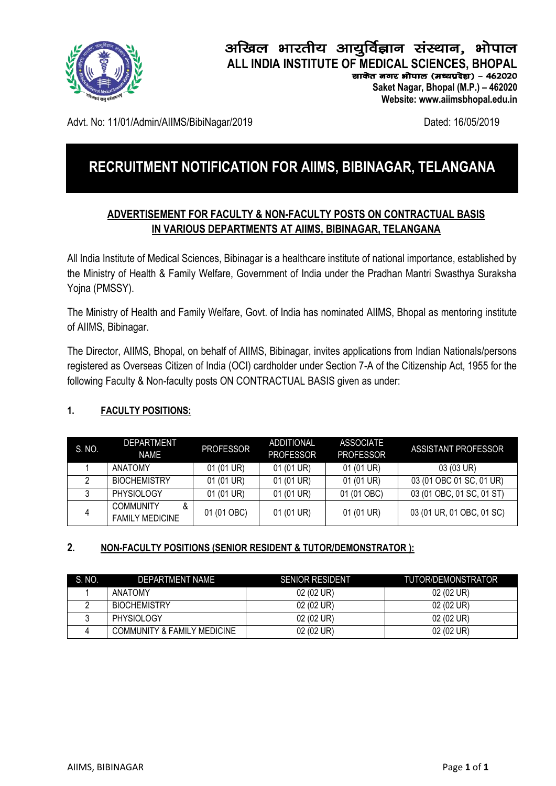

## अखिल भारतीय आयूर्विज्ञान संस्थान, भोपाल **ALL INDIA INSTITUTE OF MEDICAL SCIENCES, BHOPAL**

साकेत जगर भोपाल (मध्यप्रदेश) - 462020  **Saket Nagar, Bhopal (M.P.) – 462020**

 **Website: www.aiimsbhopal.edu.in**

Advt. No: 11/01/Admin/AIIMS/BibiNagar/2019 Dated: 16/05/2019

# **RECRUITMENT NOTIFICATION FOR AIIMS, BIBINAGAR, TELANGANA**

## **ADVERTISEMENT FOR FACULTY & NON-FACULTY POSTS ON CONTRACTUAL BASIS IN VARIOUS DEPARTMENTS AT AIIMS, BIBINAGAR, TELANGANA**

All India Institute of Medical Sciences, Bibinagar is a healthcare institute of national importance, established by the Ministry of Health & Family Welfare, Government of India under the Pradhan Mantri Swasthya Suraksha Yojna (PMSSY).

The Ministry of Health and Family Welfare, Govt. of India has nominated AIIMS, Bhopal as mentoring institute of AIIMS, Bibinagar.

The Director, AIIMS, Bhopal, on behalf of AIIMS, Bibinagar, invites applications from Indian Nationals/persons registered as Overseas Citizen of India (OCI) cardholder under Section 7-A of the Citizenship Act, 1955 for the following Faculty & Non-faculty posts ON CONTRACTUAL BASIS given as under:

## **1. FACULTY POSITIONS:**

| S. NO. | <b>DEPARTMENT</b><br><b>NAME</b>                | <b>PROFESSOR</b> | <b>ADDITIONAL</b><br><b>PROFESSOR</b> | <b>ASSOCIATE</b><br><b>PROFESSOR</b> | ASSISTANT PROFESSOR       |
|--------|-------------------------------------------------|------------------|---------------------------------------|--------------------------------------|---------------------------|
|        | ANATOMY                                         | 01 (01 UR)       | 01 (01 UR)                            | 01 (01 UR)                           | 03 (03 UR)                |
|        | <b>BIOCHEMISTRY</b>                             | 01 (01 UR)       | 01 (01 UR)                            | 01 (01 UR)                           | 03 (01 OBC 01 SC, 01 UR)  |
|        | <b>PHYSIOLOGY</b>                               | 01 (01 UR)       | 01 (01 UR)                            | 01 (01 OBC)                          | 03 (01 OBC, 01 SC, 01 ST) |
| 4      | <b>COMMUNITY</b><br>&<br><b>FAMILY MEDICINE</b> | 01 (01 OBC)      | 01 (01 UR)                            | 01 (01 UR)                           | 03 (01 UR, 01 OBC, 01 SC) |

#### **2. NON-FACULTY POSITIONS (SENIOR RESIDENT & TUTOR/DEMONSTRATOR ):**

| S. NO. | DEPARTMENT NAME                        | SENIOR RESIDENT | TUTOR/DEMONSTRATOR |
|--------|----------------------------------------|-----------------|--------------------|
|        | <b>ANATOMY</b>                         | 02 (02 UR)      | 02 (02 UR)         |
|        | <b>BIOCHEMISTRY</b>                    | 02 (02 UR)      | 02 (02 UR)         |
|        | <b>PHYSIOLOGY</b>                      | 02 (02 UR)      | 02 (02 UR)         |
|        | <b>COMMUNITY &amp; FAMILY MEDICINE</b> | 02 (02 UR)      | 02 (02 UR)         |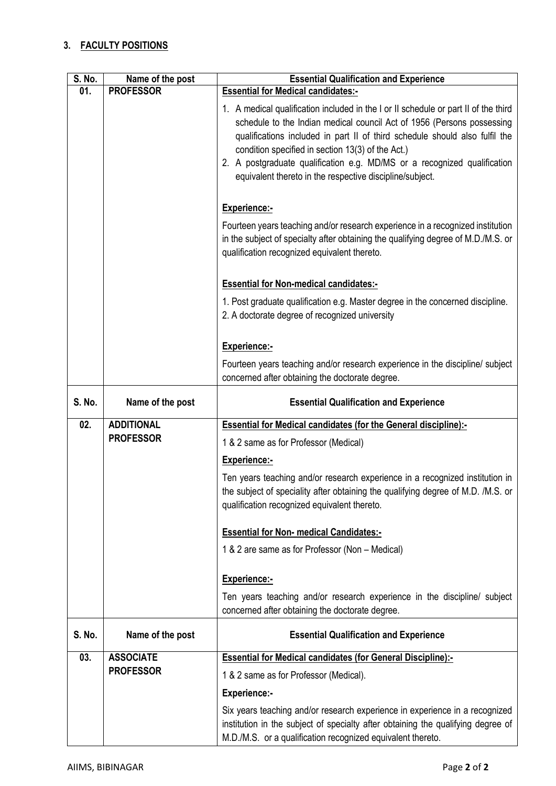#### **3. FACULTY POSITIONS**

| S. No.        | Name of the post  | <b>Essential Qualification and Experience</b>                                                                                                                                                                                                                                                                                                                                                                                             |
|---------------|-------------------|-------------------------------------------------------------------------------------------------------------------------------------------------------------------------------------------------------------------------------------------------------------------------------------------------------------------------------------------------------------------------------------------------------------------------------------------|
| 01.           | <b>PROFESSOR</b>  | <b>Essential for Medical candidates:-</b>                                                                                                                                                                                                                                                                                                                                                                                                 |
|               |                   | 1. A medical qualification included in the I or II schedule or part II of the third<br>schedule to the Indian medical council Act of 1956 (Persons possessing<br>qualifications included in part II of third schedule should also fulfil the<br>condition specified in section 13(3) of the Act.)<br>2. A postgraduate qualification e.g. MD/MS or a recognized qualification<br>equivalent thereto in the respective discipline/subject. |
|               |                   | <b>Experience:-</b>                                                                                                                                                                                                                                                                                                                                                                                                                       |
|               |                   | Fourteen years teaching and/or research experience in a recognized institution<br>in the subject of specialty after obtaining the qualifying degree of M.D./M.S. or<br>qualification recognized equivalent thereto.                                                                                                                                                                                                                       |
|               |                   | <b>Essential for Non-medical candidates:-</b>                                                                                                                                                                                                                                                                                                                                                                                             |
|               |                   | 1. Post graduate qualification e.g. Master degree in the concerned discipline.<br>2. A doctorate degree of recognized university                                                                                                                                                                                                                                                                                                          |
|               |                   | Experience:-                                                                                                                                                                                                                                                                                                                                                                                                                              |
|               |                   | Fourteen years teaching and/or research experience in the discipline/ subject<br>concerned after obtaining the doctorate degree.                                                                                                                                                                                                                                                                                                          |
|               |                   |                                                                                                                                                                                                                                                                                                                                                                                                                                           |
| <b>S. No.</b> | Name of the post  | <b>Essential Qualification and Experience</b>                                                                                                                                                                                                                                                                                                                                                                                             |
| 02.           | <b>ADDITIONAL</b> | <b>Essential for Medical candidates (for the General discipline):-</b>                                                                                                                                                                                                                                                                                                                                                                    |
|               | <b>PROFESSOR</b>  | 1 & 2 same as for Professor (Medical)                                                                                                                                                                                                                                                                                                                                                                                                     |
|               |                   | <b>Experience:-</b>                                                                                                                                                                                                                                                                                                                                                                                                                       |
|               |                   | Ten years teaching and/or research experience in a recognized institution in<br>the subject of speciality after obtaining the qualifying degree of M.D. /M.S. or<br>qualification recognized equivalent thereto.                                                                                                                                                                                                                          |
|               |                   | <b>Essential for Non- medical Candidates:-</b>                                                                                                                                                                                                                                                                                                                                                                                            |
|               |                   | 1 & 2 are same as for Professor (Non - Medical)                                                                                                                                                                                                                                                                                                                                                                                           |
|               |                   |                                                                                                                                                                                                                                                                                                                                                                                                                                           |
|               |                   | Experience:-                                                                                                                                                                                                                                                                                                                                                                                                                              |
|               |                   | Ten years teaching and/or research experience in the discipline/ subject<br>concerned after obtaining the doctorate degree.                                                                                                                                                                                                                                                                                                               |
| S. No.        | Name of the post  | <b>Essential Qualification and Experience</b>                                                                                                                                                                                                                                                                                                                                                                                             |
| 03.           | <b>ASSOCIATE</b>  | <b>Essential for Medical candidates (for General Discipline):-</b>                                                                                                                                                                                                                                                                                                                                                                        |
|               | <b>PROFESSOR</b>  | 1 & 2 same as for Professor (Medical).                                                                                                                                                                                                                                                                                                                                                                                                    |
|               |                   | <b>Experience:-</b>                                                                                                                                                                                                                                                                                                                                                                                                                       |
|               |                   | Six years teaching and/or research experience in experience in a recognized<br>institution in the subject of specialty after obtaining the qualifying degree of<br>M.D./M.S. or a qualification recognized equivalent thereto.                                                                                                                                                                                                            |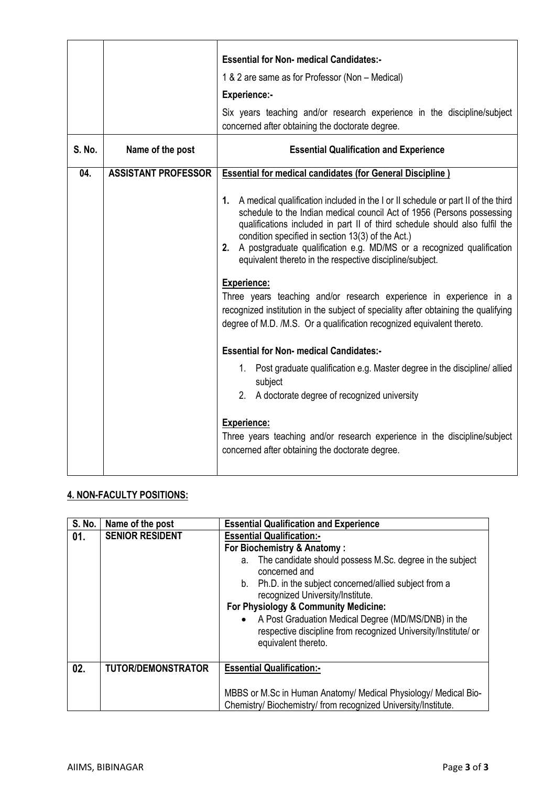|               |                            | <b>Essential for Non- medical Candidates:-</b><br>1 & 2 are same as for Professor (Non - Medical)<br><b>Experience:-</b><br>Six years teaching and/or research experience in the discipline/subject                                                                                                                                                                                                                                          |
|---------------|----------------------------|----------------------------------------------------------------------------------------------------------------------------------------------------------------------------------------------------------------------------------------------------------------------------------------------------------------------------------------------------------------------------------------------------------------------------------------------|
|               |                            | concerned after obtaining the doctorate degree.                                                                                                                                                                                                                                                                                                                                                                                              |
| <b>S. No.</b> | Name of the post           | <b>Essential Qualification and Experience</b>                                                                                                                                                                                                                                                                                                                                                                                                |
| 04.           | <b>ASSISTANT PROFESSOR</b> | <b>Essential for medical candidates (for General Discipline)</b>                                                                                                                                                                                                                                                                                                                                                                             |
|               |                            | A medical qualification included in the I or II schedule or part II of the third<br>1.<br>schedule to the Indian medical council Act of 1956 (Persons possessing<br>qualifications included in part II of third schedule should also fulfil the<br>condition specified in section 13(3) of the Act.)<br>2. A postgraduate qualification e.g. MD/MS or a recognized qualification<br>equivalent thereto in the respective discipline/subject. |
|               |                            | <b>Experience:</b><br>Three years teaching and/or research experience in experience in a<br>recognized institution in the subject of speciality after obtaining the qualifying<br>degree of M.D. /M.S. Or a qualification recognized equivalent thereto.                                                                                                                                                                                     |
|               |                            | <b>Essential for Non- medical Candidates:-</b>                                                                                                                                                                                                                                                                                                                                                                                               |
|               |                            | 1. Post graduate qualification e.g. Master degree in the discipline/ allied<br>subject<br>2. A doctorate degree of recognized university                                                                                                                                                                                                                                                                                                     |
|               |                            | Experience:<br>Three years teaching and/or research experience in the discipline/subject<br>concerned after obtaining the doctorate degree.                                                                                                                                                                                                                                                                                                  |

## **4. NON-FACULTY POSITIONS:**

| <b>S. No.</b> | Name of the post          | <b>Essential Qualification and Experience</b>                                                                                                  |  |
|---------------|---------------------------|------------------------------------------------------------------------------------------------------------------------------------------------|--|
| 01.           | <b>SENIOR RESIDENT</b>    | <b>Essential Qualification:-</b>                                                                                                               |  |
|               |                           | For Biochemistry & Anatomy:                                                                                                                    |  |
|               |                           | The candidate should possess M.Sc. degree in the subject<br>а.<br>concerned and                                                                |  |
|               |                           | b. Ph.D. in the subject concerned/allied subject from a<br>recognized University/Institute.                                                    |  |
|               |                           | For Physiology & Community Medicine:                                                                                                           |  |
|               |                           | • A Post Graduation Medical Degree (MD/MS/DNB) in the<br>respective discipline from recognized University/Institute/ or<br>equivalent thereto. |  |
| 02.           | <b>TUTOR/DEMONSTRATOR</b> | <b>Essential Qualification:-</b>                                                                                                               |  |
|               |                           | MBBS or M.Sc in Human Anatomy/ Medical Physiology/ Medical Bio-<br>Chemistry/ Biochemistry/ from recognized University/Institute.              |  |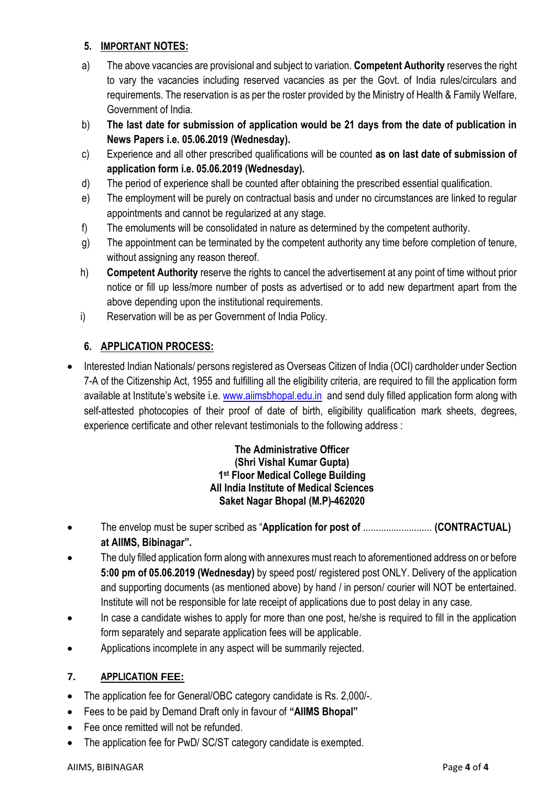### **5. IMPORTANT NOTES:**

- a) The above vacancies are provisional and subject to variation. **Competent Authority** reserves the right to vary the vacancies including reserved vacancies as per the Govt. of India rules/circulars and requirements. The reservation is as per the roster provided by the Ministry of Health & Family Welfare, Government of India.
- b) **The last date for submission of application would be 21 days from the date of publication in News Papers i.e. 05.06.2019 (Wednesday).**
- c) Experience and all other prescribed qualifications will be counted **as on last date of submission of application form i.e. 05.06.2019 (Wednesday).**
- d) The period of experience shall be counted after obtaining the prescribed essential qualification.
- e) The employment will be purely on contractual basis and under no circumstances are linked to regular appointments and cannot be regularized at any stage.
- f) The emoluments will be consolidated in nature as determined by the competent authority.
- g) The appointment can be terminated by the competent authority any time before completion of tenure, without assigning any reason thereof.
- h) **Competent Authority** reserve the rights to cancel the advertisement at any point of time without prior notice or fill up less/more number of posts as advertised or to add new department apart from the above depending upon the institutional requirements.
- i) Reservation will be as per Government of India Policy.

## **6. APPLICATION PROCESS:**

 Interested Indian Nationals/ persons registered as Overseas Citizen of India (OCI) cardholder under Section 7-A of the Citizenship Act, 1955 and fulfilling all the eligibility criteria, are required to fill the application form available at Institute's website i.e[. www.aiimsbhopal.edu.in](http://www.aiimsbhopal.edu.in/) and send duly filled application form along with self-attested photocopies of their proof of date of birth, eligibility qualification mark sheets, degrees, experience certificate and other relevant testimonials to the following address :

#### **The Administrative Officer (Shri Vishal Kumar Gupta) 1 st Floor Medical College Building All India Institute of Medical Sciences Saket Nagar Bhopal (M.P)-462020**

- The envelop must be super scribed as "**Application for post of** ........................... **(CONTRACTUAL) at AIIMS, Bibinagar".**
- The duly filled application form along with annexures must reach to aforementioned address on or before **5:00 pm of 05.06.2019 (Wednesday)** by speed post/ registered post ONLY. Delivery of the application and supporting documents (as mentioned above) by hand / in person/ courier will NOT be entertained. Institute will not be responsible for late receipt of applications due to post delay in any case.
- In case a candidate wishes to apply for more than one post, he/she is required to fill in the application form separately and separate application fees will be applicable.
- Applications incomplete in any aspect will be summarily rejected.

## **7. APPLICATION FEE:**

- The application fee for General/OBC category candidate is Rs. 2,000/-.
- Fees to be paid by Demand Draft only in favour of **"AIIMS Bhopal"**
- Fee once remitted will not be refunded.
- The application fee for PwD/ SC/ST category candidate is exempted.

#### AIIMS, BIBINAGAR Page **4** of **4**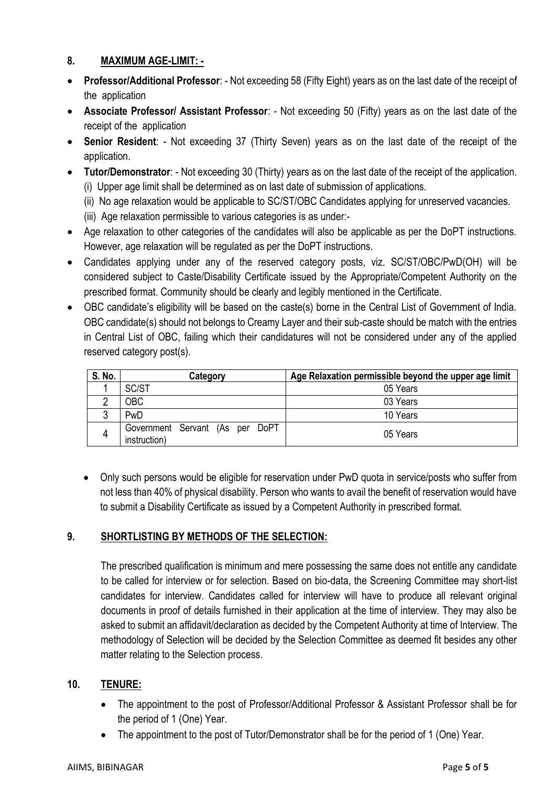## **8. MAXIMUM AGE-LIMIT: -**

- **Professor/Additional Professor**: Not exceeding 58 (Fifty Eight) years as on the last date of the receipt of the application
- **Associate Professor/ Assistant Professor**: Not exceeding 50 (Fifty) years as on the last date of the receipt of the application
- **Senior Resident**: Not exceeding 37 (Thirty Seven) years as on the last date of the receipt of the application.
- **Tutor/Demonstrator**: Not exceeding 30 (Thirty) years as on the last date of the receipt of the application. (i) Upper age limit shall be determined as on last date of submission of applications.
	- (ii) No age relaxation would be applicable to SC/ST/OBC Candidates applying for unreserved vacancies.
	- (iii) Age relaxation permissible to various categories is as under:-
- Age relaxation to other categories of the candidates will also be applicable as per the DoPT instructions. However, age relaxation will be regulated as per the DoPT instructions.
- Candidates applying under any of the reserved category posts, viz. SC/ST/OBC/PwD(OH) will be considered subject to Caste/Disability Certificate issued by the Appropriate/Competent Authority on the prescribed format. Community should be clearly and legibly mentioned in the Certificate.
- OBC candidate's eligibility will be based on the caste(s) borne in the Central List of Government of India. OBC candidate(s) should not belongs to Creamy Layer and their sub-caste should be match with the entries in Central List of OBC, failing which their candidatures will not be considered under any of the applied reserved category post(s).

| S. No. | Category                                        | Age Relaxation permissible beyond the upper age limit |
|--------|-------------------------------------------------|-------------------------------------------------------|
|        | SC/ST                                           | 05 Years                                              |
|        | OBC                                             | 03 Years                                              |
|        | PwD                                             | 10 Years                                              |
|        | Government Servant (As per DoPT<br>instruction) | 05 Years                                              |

 Only such persons would be eligible for reservation under PwD quota in service/posts who suffer from not less than 40% of physical disability. Person who wants to avail the benefit of reservation would have to submit a Disability Certificate as issued by a Competent Authority in prescribed format.

## **9. SHORTLISTING BY METHODS OF THE SELECTION:**

The prescribed qualification is minimum and mere possessing the same does not entitle any candidate to be called for interview or for selection. Based on bio-data, the Screening Committee may short-list candidates for interview. Candidates called for interview will have to produce all relevant original documents in proof of details furnished in their application at the time of interview. They may also be asked to submit an affidavit/declaration as decided by the Competent Authority at time of Interview. The methodology of Selection will be decided by the Selection Committee as deemed fit besides any other matter relating to the Selection process.

## **10. TENURE:**

- The appointment to the post of Professor/Additional Professor & Assistant Professor shall be for the period of 1 (One) Year.
- The appointment to the post of Tutor/Demonstrator shall be for the period of 1 (One) Year.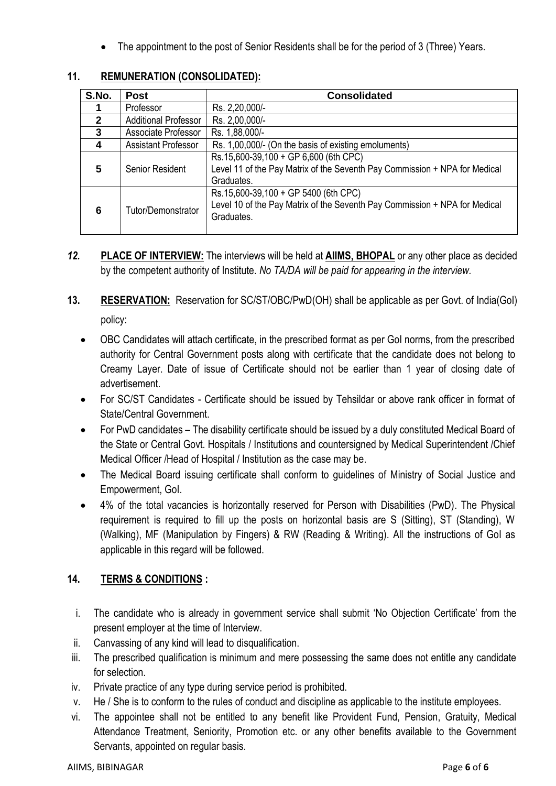The appointment to the post of Senior Residents shall be for the period of 3 (Three) Years.

| S.No. | <b>Post</b>                 | <b>Consolidated</b>                                                                                                               |
|-------|-----------------------------|-----------------------------------------------------------------------------------------------------------------------------------|
|       | Professor                   | Rs. 2,20,000/-                                                                                                                    |
| 2     | <b>Additional Professor</b> | Rs. 2,00,000/-                                                                                                                    |
| 3     | Associate Professor         | Rs. 1,88,000/-                                                                                                                    |
|       | <b>Assistant Professor</b>  | Rs. 1,00,000/- (On the basis of existing emoluments)                                                                              |
| 5     | Senior Resident             | Rs.15,600-39,100 + GP 6,600 (6th CPC)<br>Level 11 of the Pay Matrix of the Seventh Pay Commission + NPA for Medical<br>Graduates. |
| 6     | Tutor/Demonstrator          | Rs.15,600-39,100 + GP 5400 (6th CPC)<br>Level 10 of the Pay Matrix of the Seventh Pay Commission + NPA for Medical<br>Graduates.  |

## **11. REMUNERATION (CONSOLIDATED):**

- *12.* **PLACE OF INTERVIEW:** The interviews will be held at **AIIMS, BHOPAL** or any other place as decided by the competent authority of Institute. *No TA/DA will be paid for appearing in the interview.*
- **13. RESERVATION:** Reservation for SC/ST/OBC/PwD(OH) shall be applicable as per Govt. of India(GoI)

policy:

- OBC Candidates will attach certificate, in the prescribed format as per GoI norms, from the prescribed authority for Central Government posts along with certificate that the candidate does not belong to Creamy Layer. Date of issue of Certificate should not be earlier than 1 year of closing date of advertisement.
- For SC/ST Candidates Certificate should be issued by Tehsildar or above rank officer in format of State/Central Government.
- For PwD candidates The disability certificate should be issued by a duly constituted Medical Board of the State or Central Govt. Hospitals / Institutions and countersigned by Medical Superintendent /Chief Medical Officer /Head of Hospital / Institution as the case may be.
- The Medical Board issuing certificate shall conform to quidelines of Ministry of Social Justice and Empowerment, GoI.
- 4% of the total vacancies is horizontally reserved for Person with Disabilities (PwD). The Physical requirement is required to fill up the posts on horizontal basis are S (Sitting), ST (Standing), W (Walking), MF (Manipulation by Fingers) & RW (Reading & Writing). All the instructions of GoI as applicable in this regard will be followed.

## **14. TERMS & CONDITIONS :**

- i. The candidate who is already in government service shall submit 'No Objection Certificate' from the present employer at the time of Interview.
- ii. Canvassing of any kind will lead to disqualification.
- iii. The prescribed qualification is minimum and mere possessing the same does not entitle any candidate for selection.
- iv. Private practice of any type during service period is prohibited.
- v. He / She is to conform to the rules of conduct and discipline as applicable to the institute employees.
- vi. The appointee shall not be entitled to any benefit like Provident Fund, Pension, Gratuity, Medical Attendance Treatment, Seniority, Promotion etc. or any other benefits available to the Government Servants, appointed on regular basis.